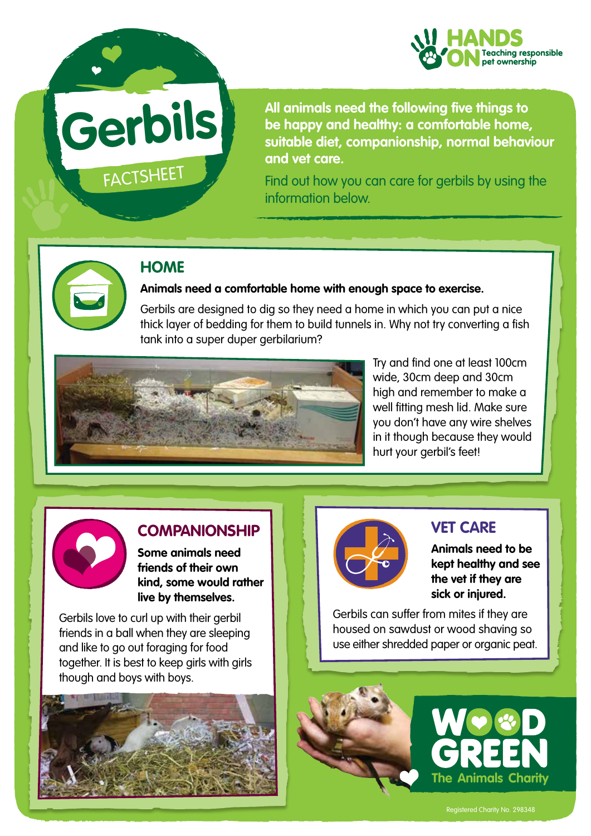

# **Gerbils**

**FACTSHEET** 

**All animals need the following five things to be happy and healthy: a comfortable home, suitable diet, companionship, normal behaviour and vet care.** 

Find out how you can care for gerbils by using the information below.



# **HOME**

#### **Animals need a comfortable home with enough space to exercise.**

Gerbils are designed to dig so they need a home in which you can put a nice thick layer of bedding for them to build tunnels in. Why not try converting a fish tank into a super duper gerbilarium?



Try and find one at least 100cm wide, 30cm deep and 30cm high and remember to make a well fitting mesh lid. Make sure you don't have any wire shelves in it though because they would hurt your gerbil's feet!



### **COMPANIONSHIP**

**Some animals need friends of their own kind, some would rather live by themselves.** 

Gerbils love to curl up with their gerbil friends in a ball when they are sleeping and like to go out foraging for food together. It is best to keep girls with girls though and boys with boys.





# **VET CARE**

**Animals need to be kept healthy and see the vet if they are sick or injured.**

Gerbils can suffer from mites if they are housed on sawdust or wood shaving so use either shredded paper or organic peat.





Registered Charity No. 298348